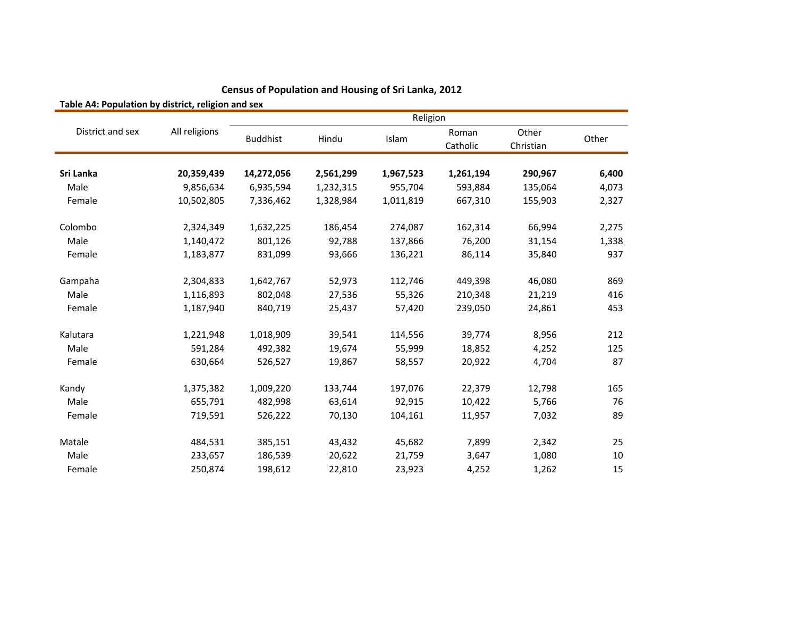| Religion         |               |                 |           |           |                   |                    |       |
|------------------|---------------|-----------------|-----------|-----------|-------------------|--------------------|-------|
| District and sex | All religions | <b>Buddhist</b> | Hindu     | Islam     | Roman<br>Catholic | Other<br>Christian | Other |
|                  |               |                 |           |           |                   |                    |       |
| Sri Lanka        | 20,359,439    | 14,272,056      | 2,561,299 | 1,967,523 | 1,261,194         | 290,967            | 6,400 |
| Male             | 9,856,634     | 6,935,594       | 1,232,315 | 955,704   | 593,884           | 135,064            | 4,073 |
| Female           | 10,502,805    | 7,336,462       | 1,328,984 | 1,011,819 | 667,310           | 155,903            | 2,327 |
| Colombo          | 2,324,349     | 1,632,225       | 186,454   | 274,087   | 162,314           | 66,994             | 2,275 |
| Male             | 1,140,472     | 801,126         | 92,788    | 137,866   | 76,200            | 31,154             | 1,338 |
| Female           | 1,183,877     | 831,099         | 93,666    | 136,221   | 86,114            | 35,840             | 937   |
| Gampaha          | 2,304,833     | 1,642,767       | 52,973    | 112,746   | 449,398           | 46,080             | 869   |
| Male             | 1,116,893     | 802,048         | 27,536    | 55,326    | 210,348           | 21,219             | 416   |
| Female           | 1,187,940     | 840,719         | 25,437    | 57,420    | 239,050           | 24,861             | 453   |
| Kalutara         | 1,221,948     | 1,018,909       | 39,541    | 114,556   | 39,774            | 8,956              | 212   |
| Male             | 591,284       | 492,382         | 19,674    | 55,999    | 18,852            | 4,252              | 125   |
| Female           | 630,664       | 526,527         | 19,867    | 58,557    | 20,922            | 4,704              | 87    |
| Kandy            | 1,375,382     | 1,009,220       | 133,744   | 197,076   | 22,379            | 12,798             | 165   |
| Male             | 655,791       | 482,998         | 63,614    | 92,915    | 10,422            | 5,766              | 76    |
| Female           | 719,591       | 526,222         | 70,130    | 104,161   | 11,957            | 7,032              | 89    |
| Matale           | 484,531       | 385,151         | 43,432    | 45,682    | 7,899             | 2,342              | 25    |
| Male             | 233,657       | 186,539         | 20,622    | 21,759    | 3,647             | 1,080              | 10    |
| Female           | 250,874       | 198,612         | 22,810    | 23,923    | 4,252             | 1,262              | 15    |

**Table A4: Population by district, religion and sex**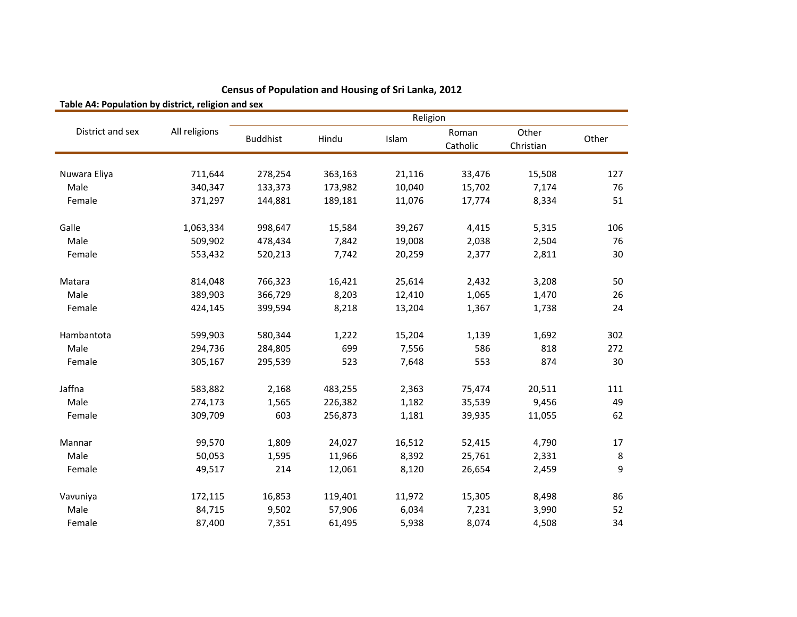| Table A4. Population by district, religion and sex |               | Religion        |         |        |                   |                    |         |  |
|----------------------------------------------------|---------------|-----------------|---------|--------|-------------------|--------------------|---------|--|
| District and sex                                   | All religions | <b>Buddhist</b> | Hindu   | Islam  | Roman<br>Catholic | Other<br>Christian | Other   |  |
|                                                    |               |                 |         |        |                   |                    |         |  |
| Nuwara Eliya                                       | 711,644       | 278,254         | 363,163 | 21,116 | 33,476            | 15,508             | 127     |  |
| Male                                               | 340,347       | 133,373         | 173,982 | 10,040 | 15,702            | 7,174              | 76      |  |
| Female                                             | 371,297       | 144,881         | 189,181 | 11,076 | 17,774            | 8,334              | 51      |  |
| Galle                                              | 1,063,334     | 998,647         | 15,584  | 39,267 | 4,415             | 5,315              | 106     |  |
| Male                                               | 509,902       | 478,434         | 7,842   | 19,008 | 2,038             | 2,504              | 76      |  |
| Female                                             | 553,432       | 520,213         | 7,742   | 20,259 | 2,377             | 2,811              | 30      |  |
| Matara                                             | 814,048       | 766,323         | 16,421  | 25,614 | 2,432             | 3,208              | 50      |  |
| Male                                               | 389,903       | 366,729         | 8,203   | 12,410 | 1,065             | 1,470              | 26      |  |
| Female                                             | 424,145       | 399,594         | 8,218   | 13,204 | 1,367             | 1,738              | 24      |  |
| Hambantota                                         | 599,903       | 580,344         | 1,222   | 15,204 | 1,139             | 1,692              | 302     |  |
| Male                                               | 294,736       | 284,805         | 699     | 7,556  | 586               | 818                | 272     |  |
| Female                                             | 305,167       | 295,539         | 523     | 7,648  | 553               | 874                | 30      |  |
| Jaffna                                             | 583,882       | 2,168           | 483,255 | 2,363  | 75,474            | 20,511             | 111     |  |
| Male                                               | 274,173       | 1,565           | 226,382 | 1,182  | 35,539            | 9,456              | 49      |  |
| Female                                             | 309,709       | 603             | 256,873 | 1,181  | 39,935            | 11,055             | 62      |  |
| Mannar                                             | 99,570        | 1,809           | 24,027  | 16,512 | 52,415            | 4,790              | 17      |  |
| Male                                               | 50,053        | 1,595           | 11,966  | 8,392  | 25,761            | 2,331              | $\,8\,$ |  |
| Female                                             | 49,517        | 214             | 12,061  | 8,120  | 26,654            | 2,459              | 9       |  |
| Vavuniya                                           | 172,115       | 16,853          | 119,401 | 11,972 | 15,305            | 8,498              | 86      |  |
| Male                                               | 84,715        | 9,502           | 57,906  | 6,034  | 7,231             | 3,990              | 52      |  |
| Female                                             | 87,400        | 7,351           | 61,495  | 5,938  | 8,074             | 4,508              | 34      |  |

**Table A4: Population by district, religion and sex**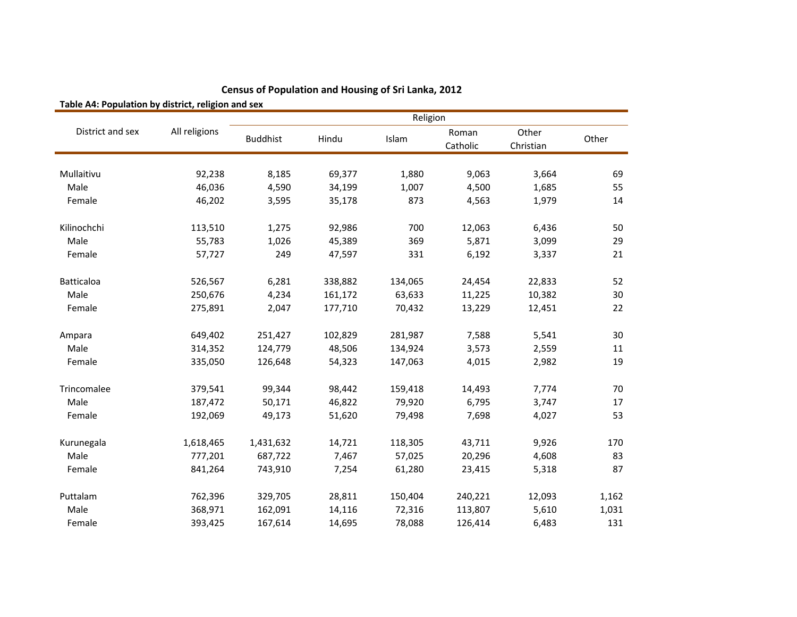| Table A4: Population by district, religion and sex |               |                 |         |         |                   |                    |       |  |
|----------------------------------------------------|---------------|-----------------|---------|---------|-------------------|--------------------|-------|--|
|                                                    | All religions | Religion        |         |         |                   |                    |       |  |
| District and sex                                   |               | <b>Buddhist</b> | Hindu   | Islam   | Roman<br>Catholic | Other<br>Christian | Other |  |
|                                                    |               |                 |         |         |                   |                    |       |  |
| Mullaitivu                                         | 92,238        | 8,185           | 69,377  | 1,880   | 9,063             | 3,664              | 69    |  |
| Male                                               | 46,036        | 4,590           | 34,199  | 1,007   | 4,500             | 1,685              | 55    |  |
| Female                                             | 46,202        | 3,595           | 35,178  | 873     | 4,563             | 1,979              | 14    |  |
| Kilinochchi                                        | 113,510       | 1,275           | 92,986  | 700     | 12,063            | 6,436              | 50    |  |
| Male                                               | 55,783        | 1,026           | 45,389  | 369     | 5,871             | 3,099              | 29    |  |
| Female                                             | 57,727        | 249             | 47,597  | 331     | 6,192             | 3,337              | 21    |  |
| <b>Batticaloa</b>                                  | 526,567       | 6,281           | 338,882 | 134,065 | 24,454            | 22,833             | 52    |  |
| Male                                               | 250,676       | 4,234           | 161,172 | 63,633  | 11,225            | 10,382             | 30    |  |
| Female                                             | 275,891       | 2,047           | 177,710 | 70,432  | 13,229            | 12,451             | 22    |  |
| Ampara                                             | 649,402       | 251,427         | 102,829 | 281,987 | 7,588             | 5,541              | 30    |  |
| Male                                               | 314,352       | 124,779         | 48,506  | 134,924 | 3,573             | 2,559              | 11    |  |
| Female                                             | 335,050       | 126,648         | 54,323  | 147,063 | 4,015             | 2,982              | 19    |  |
| Trincomalee                                        | 379,541       | 99,344          | 98,442  | 159,418 | 14,493            | 7,774              | 70    |  |
| Male                                               | 187,472       | 50,171          | 46,822  | 79,920  | 6,795             | 3,747              | 17    |  |
| Female                                             | 192,069       | 49,173          | 51,620  | 79,498  | 7,698             | 4,027              | 53    |  |
| Kurunegala                                         | 1,618,465     | 1,431,632       | 14,721  | 118,305 | 43,711            | 9,926              | 170   |  |
| Male                                               | 777,201       | 687,722         | 7,467   | 57,025  | 20,296            | 4,608              | 83    |  |
| Female                                             | 841,264       | 743,910         | 7,254   | 61,280  | 23,415            | 5,318              | 87    |  |
| Puttalam                                           | 762,396       | 329,705         | 28,811  | 150,404 | 240,221           | 12,093             | 1,162 |  |
| Male                                               | 368,971       | 162,091         | 14,116  | 72,316  | 113,807           | 5,610              | 1,031 |  |
| Female                                             | 393,425       | 167,614         | 14,695  | 78,088  | 126,414           | 6,483              | 131   |  |